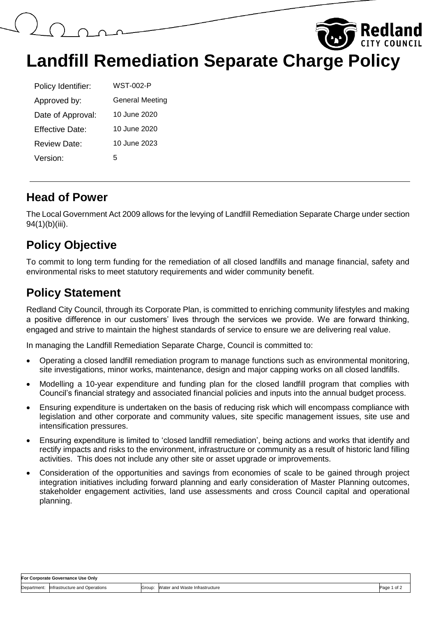

| Policy Identifier: | WST-002-P              |
|--------------------|------------------------|
| Approved by:       | <b>General Meeting</b> |
| Date of Approval:  | 10 June 2020           |
| Fffective Date:    | 10 June 2020           |
| Review Date:       | 10 June 2023           |
| Version:           | 5                      |

#### **Head of Power**

The Local Government Act 2009 allows for the levying of Landfill Remediation Separate Charge under section 94(1)(b)(iii).

# **Policy Objective**

To commit to long term funding for the remediation of all closed landfills and manage financial, safety and environmental risks to meet statutory requirements and wider community benefit.

### **Policy Statement**

Redland City Council, through its Corporate Plan, is committed to enriching community lifestyles and making a positive difference in our customers' lives through the services we provide. We are forward thinking, engaged and strive to maintain the highest standards of service to ensure we are delivering real value.

In managing the Landfill Remediation Separate Charge, Council is committed to:

- Operating a closed landfill remediation program to manage functions such as environmental monitoring, site investigations, minor works, maintenance, design and major capping works on all closed landfills.
- Modelling a 10-year expenditure and funding plan for the closed landfill program that complies with Council's financial strategy and associated financial policies and inputs into the annual budget process.
- Ensuring expenditure is undertaken on the basis of reducing risk which will encompass compliance with legislation and other corporate and community values, site specific management issues, site use and intensification pressures.
- Ensuring expenditure is limited to 'closed landfill remediation', being actions and works that identify and rectify impacts and risks to the environment, infrastructure or community as a result of historic land filling activities. This does not include any other site or asset upgrade or improvements.
- Consideration of the opportunities and savings from economies of scale to be gained through project integration initiatives including forward planning and early consideration of Master Planning outcomes, stakeholder engagement activities, land use assessments and cross Council capital and operational planning.

| For Corporate Governance Use Only |                               |        |                                |             |  |  |
|-----------------------------------|-------------------------------|--------|--------------------------------|-------------|--|--|
| Department:                       | Infrastructure and Operations | Group: | Water and Waste Infrastructure | Page 1 of 2 |  |  |